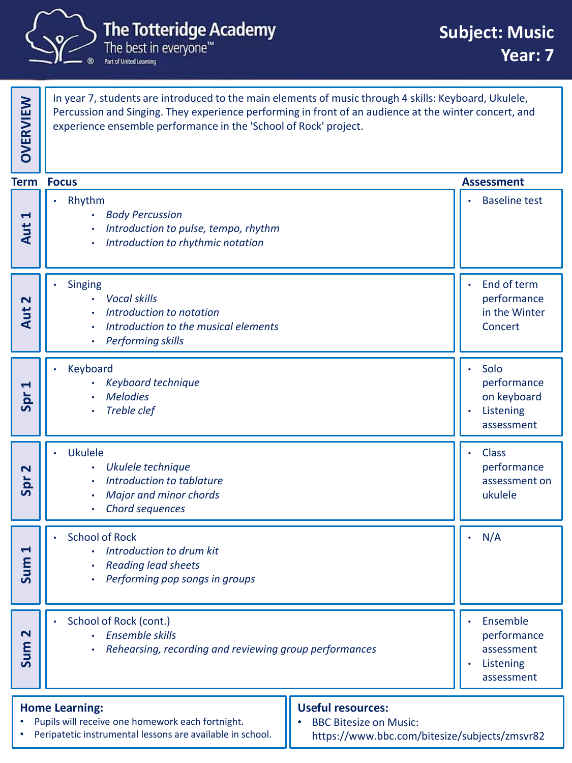

The best in everyone™ Part of United Learning

In year 7, students are introduced to the main elements of music through 4 skills: Keyboard, Ukulele, Percussion and Singing. They experience performing in front of an audience at the winter concert, and experience ensemble performance in the 'School of Rock' project. **OVERVIEW** • Rhythm • *Body Percussion* • *Introduction to pulse, tempo, rhythm* • *Introduction to rhythmic notation* **Baseline test Aut 1Singing** • *Vocal skills* • *Introduction to notation* • *Introduction to the musical elements* • *Performing skills* End of term performance in the Winter **Aut** Concert **2**• Keyboard • *Keyboard technique* • *Melodies* • *Treble clef* • Solo performance on keyboard **Listening** assessment **Spr 1**• Ukulele • *Ukulele technique* • *Introduction to tablature* • *Major and minor chords* • *Chord sequences* • Class performance assessment on **Spr** ukulele **2**• School of Rock • *Introduction to drum kit* • *Reading lead sheets* • *Performing pop songs in groups*  $N/A$ **Sum 1** School of Rock (cont.) • *Ensemble skills* • *Rehearsing, recording and reviewing group performances* **Ensemble** performance assessment **Listening** assessment **Sum 2 Term Assessment Focus Home Learning:** Pupils will receive one homework each fortnight. Peripatetic instrumental lessons are available in school. **Useful resources:** • BBC Bitesize on Music: https://www.bbc.com/bitesize/subjects/zmsvr82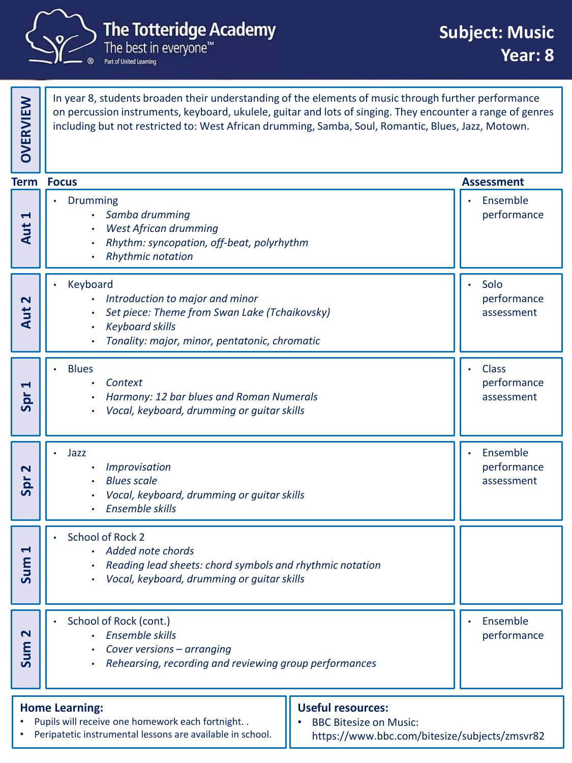

**OVERVIEW**

Part of United Learning

In year 8, students broaden their understanding of the elements of music through further performance on percussion instruments, keyboard, ukulele, guitar and lots of singing. They encounter a range of genres including but not restricted to: West African drumming, Samba, Soul, Romantic, Blues, Jazz, Motown.

|                                                                                                                                          | <b>Term Focus</b>                                                                                                                                                       |  | <b>Assessment</b>                         |
|------------------------------------------------------------------------------------------------------------------------------------------|-------------------------------------------------------------------------------------------------------------------------------------------------------------------------|--|-------------------------------------------|
| Ţ<br>Aut                                                                                                                                 | Drumming<br>· Samba drumming<br>West African drumming<br>Rhythm: syncopation, off-beat, polyrhythm<br><b>Rhythmic notation</b>                                          |  | Ensemble<br>performance                   |
| 2<br>Aut                                                                                                                                 | Keyboard<br>Introduction to major and minor<br>Set piece: Theme from Swan Lake (Tchaikovsky)<br><b>Keyboard skills</b><br>Tonality: major, minor, pentatonic, chromatic |  | Solo<br>performance<br>assessment         |
| Н<br>Spr                                                                                                                                 | <b>Blues</b><br>Context<br>Harmony: 12 bar blues and Roman Numerals<br>Vocal, keyboard, drumming or guitar skills                                                       |  | <b>Class</b><br>performance<br>assessment |
| 2<br>Spr                                                                                                                                 | Jazz<br>Improvisation<br><b>Blues scale</b><br>Vocal, keyboard, drumming or guitar skills<br>Ensemble skills                                                            |  | Ensemble<br>performance<br>assessment     |
| 1<br>Sum                                                                                                                                 | <b>School of Rock 2</b><br>Added note chords<br>Reading lead sheets: chord symbols and rhythmic notation<br>Vocal, keyboard, drumming or guitar skills                  |  |                                           |
| $\overline{\mathsf{N}}$<br>Sun                                                                                                           | School of Rock (cont.)<br>· Ensemble skills<br>Cover versions - arranging<br>Rehearsing, recording and reviewing group performances                                     |  | Ensemble<br>performance                   |
| <b>Useful resources:</b><br><b>Home Learning:</b><br>Pupils will receive one homework each fortnight. .<br><b>BBC Bitesize on Music:</b> |                                                                                                                                                                         |  |                                           |

https://www.bbc.com/bitesize/subjects/zmsvr82

Peripatetic instrumental lessons are available in school.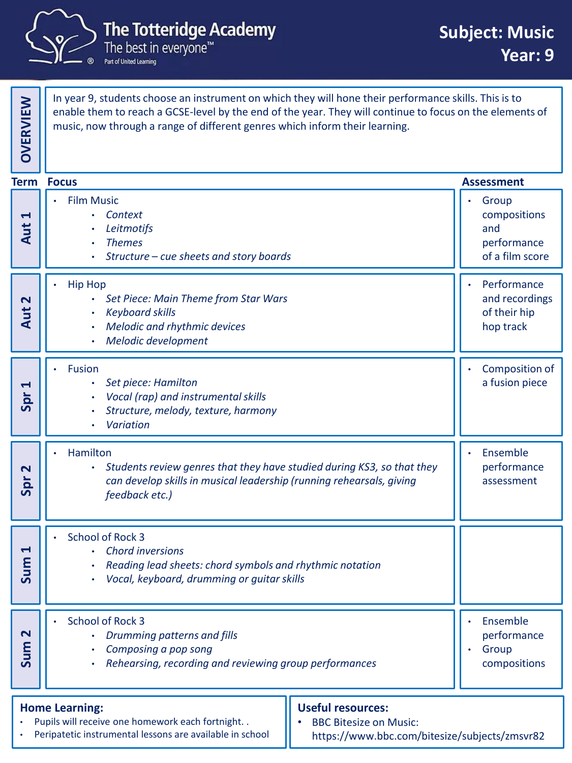

**OVERVIEW**

Part of United Learning

Pupils will receive one homework each fortnight. . • Peripatetic instrumental lessons are available in school

In year 9, students choose an instrument on which they will hone their performance skills. This is to enable them to reach a GCSE-level by the end of the year. They will continue to focus on the elements of music, now through a range of different genres which inform their learning.

|                                | <b>Term Focus</b>                                                                                                                                                            |  | <b>Assessment</b>                                              |  |
|--------------------------------|------------------------------------------------------------------------------------------------------------------------------------------------------------------------------|--|----------------------------------------------------------------|--|
| 1<br>Aut                       | <b>Film Music</b><br>Context<br>Leitmotifs<br><b>Themes</b><br>Structure - cue sheets and story boards                                                                       |  | Group<br>compositions<br>and<br>performance<br>of a film score |  |
| Aut 2                          | <b>Hip Hop</b><br>Set Piece: Main Theme from Star Wars<br>$\bullet$<br><b>Keyboard skills</b><br>Melodic and rhythmic devices<br>Melodic development<br>$\bullet$            |  | Performance<br>and recordings<br>of their hip<br>hop track     |  |
| 4<br>Spr                       | Fusion<br>Set piece: Hamilton<br>Vocal (rap) and instrumental skills<br>Structure, melody, texture, harmony<br>Variation                                                     |  | Composition of<br>a fusion piece                               |  |
| $\mathbf{\mathbf{N}}$<br>Spr   | Hamilton<br>Students review genres that they have studied during KS3, so that they<br>can develop skills in musical leadership (running rehearsals, giving<br>feedback etc.) |  | Ensemble<br>performance<br>assessment                          |  |
| 1<br>Sum                       | School of Rock 3<br><b>Chord inversions</b><br>$\bullet$<br>Reading lead sheets: chord symbols and rhythmic notation<br>Vocal, keyboard, drumming or guitar skills           |  |                                                                |  |
| $\overline{\mathbf{r}}$<br>Sum | School of Rock 3<br>Drumming patterns and fills<br>Composing a pop song<br>Rehearsing, recording and reviewing group performances                                            |  | Ensemble<br>performance<br>Group<br>compositions               |  |
|                                | <b>Useful resources:</b><br><b>Home Learning:</b>                                                                                                                            |  |                                                                |  |

• BBC Bitesize on Music:

https://www.bbc.com/bitesize/subjects/zmsvr82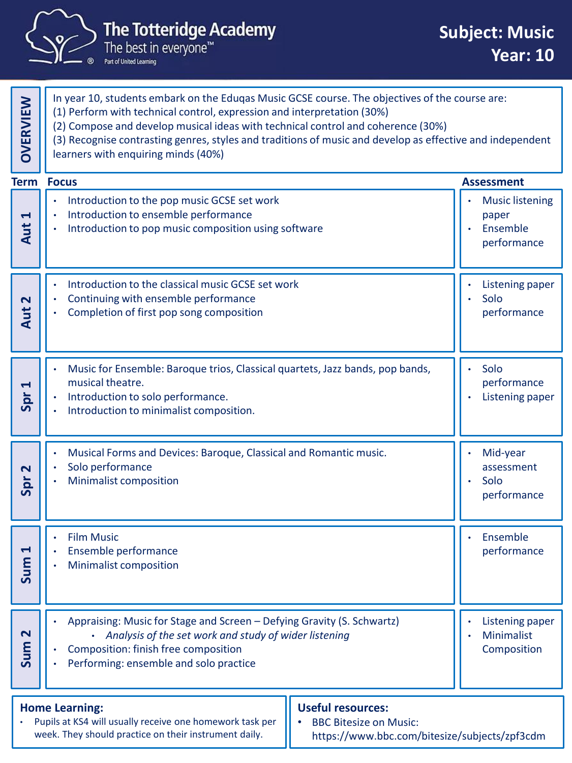

## The Totteridge Academy<br>The best in everyone<sup>me</sup>

| <b>OVERVIEW</b>                                                                                                                                                                                                                                          | In year 10, students embark on the Eduqas Music GCSE course. The objectives of the course are:<br>(1) Perform with technical control, expression and interpretation (30%)<br>(2) Compose and develop musical ideas with technical control and coherence (30%)<br>(3) Recognise contrasting genres, styles and traditions of music and develop as effective and independent<br>learners with enquiring minds (40%) |  |                                                            |
|----------------------------------------------------------------------------------------------------------------------------------------------------------------------------------------------------------------------------------------------------------|-------------------------------------------------------------------------------------------------------------------------------------------------------------------------------------------------------------------------------------------------------------------------------------------------------------------------------------------------------------------------------------------------------------------|--|------------------------------------------------------------|
| <b>Term</b>                                                                                                                                                                                                                                              | <b>Focus</b>                                                                                                                                                                                                                                                                                                                                                                                                      |  | <b>Assessment</b>                                          |
| $\blacktriangleleft$<br>Aut                                                                                                                                                                                                                              | Introduction to the pop music GCSE set work<br>Introduction to ensemble performance<br>Introduction to pop music composition using software                                                                                                                                                                                                                                                                       |  | <b>Music listening</b><br>paper<br>Ensemble<br>performance |
| $\mathbf{\Omega}$<br>Aut                                                                                                                                                                                                                                 | Introduction to the classical music GCSE set work<br>Continuing with ensemble performance<br>Completion of first pop song composition                                                                                                                                                                                                                                                                             |  | Listening paper<br>Solo<br>performance                     |
| Spr <sub>1</sub>                                                                                                                                                                                                                                         | Music for Ensemble: Baroque trios, Classical quartets, Jazz bands, pop bands,<br>musical theatre.<br>Introduction to solo performance.<br>Introduction to minimalist composition.                                                                                                                                                                                                                                 |  | Solo<br>performance<br><b>Listening paper</b>              |
| 2<br>Spr                                                                                                                                                                                                                                                 | Musical Forms and Devices: Baroque, Classical and Romantic music.<br>Solo performance<br><b>Minimalist composition</b>                                                                                                                                                                                                                                                                                            |  | Mid-year<br>assessment<br>Solo<br>performance              |
| Н<br>Sum                                                                                                                                                                                                                                                 | <b>Film Music</b><br>Ensemble performance<br><b>Minimalist composition</b>                                                                                                                                                                                                                                                                                                                                        |  | Ensemble<br>performance                                    |
| $\mathbf{\Omega}$<br>Sum                                                                                                                                                                                                                                 | Appraising: Music for Stage and Screen - Defying Gravity (S. Schwartz)<br>• Analysis of the set work and study of wider listening<br>Composition: finish free composition<br>Performing: ensemble and solo practice                                                                                                                                                                                               |  | Listening paper<br><b>Minimalist</b><br>Composition        |
| <b>Useful resources:</b><br><b>Home Learning:</b><br>Pupils at KS4 will usually receive one homework task per<br><b>BBC Bitesize on Music:</b><br>week. They should practice on their instrument daily.<br>https://www.bbc.com/bitesize/subjects/zpf3cdm |                                                                                                                                                                                                                                                                                                                                                                                                                   |  |                                                            |